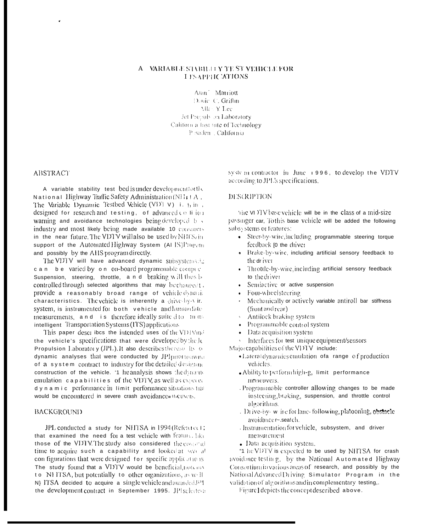# A VARIABLE STABILITY TE ST VEHICLE FOR **LISAPPHCATIONS**

Atan<sup>t</sup> Matriott Danie C. Griftm. Alla - Y. Lee Jet Propuls on Laboratory Californ a hist tute of Technology. P :saden : California

## **ABSTRACT**

A variable stability test bed is under developmention the National Highway Traffic Safety Administration (NH $\pm$ 1 A, The Variable Dynamic Testbed Vehicle (VDT V) i. h in, designed for research and testing, of advanced collitor warning and avoidance technologies being developed b  $\sqrt{ }$ industry and most likely being made available 10 consurers in the near future. The VDTV willalso be used by NHTSzin support of the Automated Highway System (AL 1S)Progetu and possibly by the AHS program directly.

The VDTV will have advanced dynamic subsystems: can be varied by on on-board programmable compee Suspension, steering, throttle, a n d braking will thus be controlled through selected algorithms that may be changed t. provide a reasonably broad range of vehicle dynasic characteristics. The vehicle is inherently a drive-by-vir. system, is instrumented for both vehicle and humanfate measurements, and is therefore ideally suite d to tums intelligent Transportation Systems (ITS) applications

This paper describes the intended uses of the VDEVind the vehicle's specifications that were developed by the Je Propulsion Laboratory (JPL). It also describes the results to dynamic analyses that were conducted by JPIpHOTOBWRG of a system contract to industry for the detailed designment construction of the vehicle. '1 heanalysis shows the dynamic emulation capabilities of the VDTV, as well as experient dynamic performance in limit performance situations trat would be encountered in severe crash avoidance. Hocuvets.

#### **BACKGROUND**

JPL conducted a study for NHTSA in 1994 (Reference F) that examined the need for a test vehicle with feature. like those of the VDTV. The study also considered the costand time to acquire such a capability and looked at seve all con figurations that were designed for specific applications The study found that a VDTV would be beneficial, not any to NHTSA, but potentially to other organizations, as well N} ITSA decided to acquire a single vehicle and awarded JP1 the development contract in September 1995. JPIsclecteral system contractor in June 1996, to develop the VDTV according to JPL's specifications.

### **DESCRIPTION**

the VI ITV base vehicle will be in the class of a mid-size passinger car. To this base vehicle will be added the following subsystems or features:

- Steer-by-wire, including programmable steering torque feedback [0 the driver
- Brake-by-wire, including artificial sensory feedback to the driver
- Throttle-by-wire, including artificial sensory feedback to the driver
- Semiactive or active suspension
- Four-wheelsteering
- Mechanically or actively variable antiroll bar stiffness (front and rear)
- Antilock braking system
- Programmable control system
- Data acquisition system
- Interfaces for test unique equipment/sensors

Major capabilities of the VDTV include:

- Lateral dynamics emulation of a range of production vehicles.
- . Ability to perform high-g, limit performance mnoeuvers.
- . Programmable controller allowing changes to be made insteering, braking, suspension, and throttle control aleorithms.
- . Drive-by- w ire for lane-following, platooning, obstacle avoidance r~.sea!ch.
- . Instrumentation for vehicle, subsystem, and driver measurement
- · Data acquisition system.

"1 he VDTV is expected to be used by NHTSA for crash avoidance testing, by the National Automated Highway Consortium invarious areas of research, and possibly by the National Advanced Driving Simulator Program in the validation of algorithms and in complementary testing.

Figure I depicts the concept described above.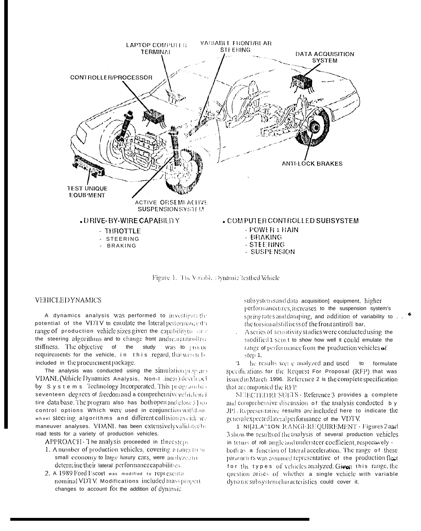

Figure 1. The Variable Dynamic Testbed Vehicle

# **VEHICLEDYNAMICS**

A dynamics analysis Was performed to investigate the potential of the VDTV to emulate the lateral performance in range of production vehicle sizes given the capability to vary the steering algorithms and to change front andrearantirollor stiffness. The objective of the study was to procude requirements for the vehicle, in this regard, that went be included in the procurement package.

The analysis was conducted using the simulation program VDANL (Vehicle Dynamics Analysis, Non-Linear) develops by Systems Technology Incorporated. This program has seventeen degrees of freedom and a comprehensive vehicle mail tire data base. The program also has both open and closed hor control options Which were used in conjunction with four wheel steeling algorithms and different collision avoidance maneuver analyses. VI)ANI, has been extensively validated by road tests for a variety of production vehicles.

APPROACH- The analysis proceeded in three steps

- 1. A number of production vehicles, covering a rangement small economy to large luxury cars, were analyzed to determ ine their lateral performance capabilities.
- 2. A 1989 Ford Escort was modified to representanominal VDTV. Modifications included mass propertchanges to account for the addition of dynamic

subsystems and data acquisition] equipment, higher performancetures, increases to the suspension system's spring rates and damping, and addition of variability to. the torsional stiffness of the front antiroll bar,

A series of sensitivity studies were conducted using the modified 1 scort to show how well it could emulate the range of performance from the production vehicles of step 1,

he results were analyzed and used to formulate  $^4$ specifications for the Request For Proposal (RFP) that was issued in March 1996. Reference 2 is the complete specification that accompanied the RFP.

SEIECTEDRESULTS - Reference 3 provides a complete and comprehensive discussion of the analysis conducted by JPL Representative results are included here to indicate the general expected lateral performance of the VDTV.

1 NI[J1,A"1ON RANGEREQUIREMENT - Figures 2 and 3 show the results of the analysis of several production vehicles in terms of roll angle and understeer coefficient, respectively both as a function of lateral acceleration. The range of these parameters was assumed representative of the production fleet for the types of vehicles analyzed. Given this range, the question arises of whether a single vehicle with variable dynamic subsystem characteristics could cover it.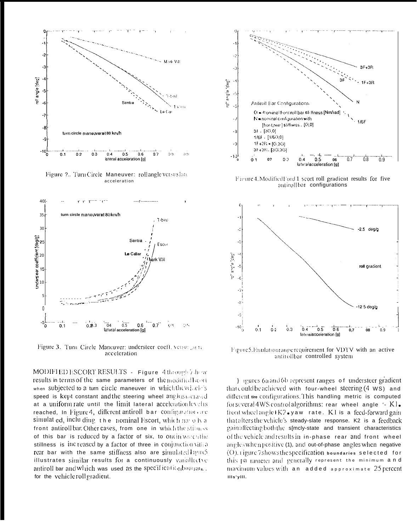

Figure ?.. Turn Circle Maneuver: roll angle versus late acceleration



Figure 3. Turn Circle Maneuver: understeer coeff, versus lat to acceleration

MODIFIED ESCORT RESULTS - Figure 4 through 7 heav results in terms of the same parameters of the modified scott when subjected to a turn circle maneuver in which the vehicle's speed is kept constant and the steering wheel angles acrased at a uniform rate until the limit lateral acceleration level is reached, In Figure 4, different antiroll bar configurations are simulat ed, including the nominal Escort, which has olved front antiroll bar. Other cases, from one in which the stituess of this bar is reduced by a factor of six, to ontin which the stillness is increased by a factor of three in conjunction vithal rear bar with the same stiffness also are simulated hyrre5 illustrates similar results for a continuously variallectve antiroll bar and which was used as the specification bounam... for the vehicle roll gradient.



Figure 4. Modified Ford 1 scort roll gradient results for five antirollbar configurations



Figure 5. Enulation range requirement for VDTV with an active autirollbar controlled system

} igures 6a and 6b represent ranges of understeer gradient that could be achieved with four-wheel steering (4 WS) and different tire configurations. This handling metric is computed for several 4WS control algorithms: rear wheel angle  $\pm$  Kl. front wheel angle FK2. yaw rate. K1 is a feed-forward gain that alters the vehicle's steady-slate response. K2 is a feedback gainaffecting both the s[mcly-state and transient characteristics of the vehicle and results in in-phase rear and front wheel angles when positive (1), and out-of-phase angles when negative (O) rigure 7 shows the specification boundaries selected for this pa rameter and generally represent the minimum and maximum values with an added approximate 25 percent Ills'yIII.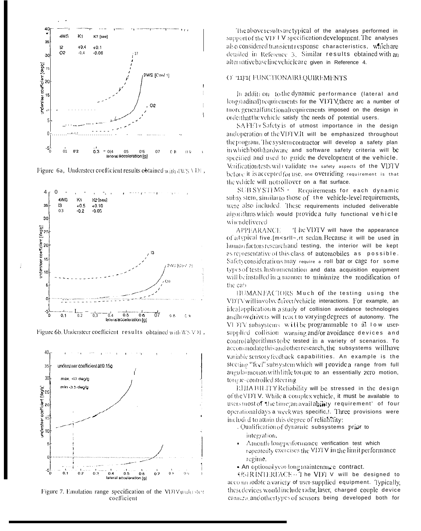

Figure 6a, Understeer coefficient results obtained with  $4WS \backslash D$ ,



Figure 6b. Understeer coefficient results obtained with WS V H,



Figure 7. Emulation range specification of the VDTV understex coefficient

The above results are typical of the analyses performed in support of the VD 1 V specification development. The analyses also considered transient response characteristics, which are detailed in Reference 3. Similar results obtained with an alternative baseline vehicle are given in Reference 4.

#### O' '11}'1{ FUNCTIONAIREQUIREMENTS

In addition to the dynamic performance (lateral and longitudinal) requirements for the VDTV, there are a number of more general functional requirements imposed on the design in orderthat the vehicle satisfy the needs of potential users.

SAFETy Safety is of utmost importance in the design andoperation of the VDTVIt will be emphasized throughout the program. The system contractor will develop a safety plan in which both hardware and software safety criteria will be specified and used to guide the development of the vehicle. Wrification tests will validate the safety aspects of the VDTV before it is accepted for use, one overriding requirement is that the vehicle will noticllover on a flat surface.

SUB SYSTEMS - Requirements for each dynamic subsystem, similar to those of the vehicle-level requirements, were also included. These requirements included deliverable algorithms which would provide a fully functional vehicle whendelivered.

'[ hc VI)TV will have the appearance **APPEARANCE** of atypical five.[m<srl]~,rt sedan. Because it will be used in human factors research and testing, the interior will be kept as representative of this class of automobiles as possible. Safety considerations may require a roll bar or cage for some types of tests. Instrumentation and data acquisition equipment will be installed in a manner to minimize the modification of the eab

HUMANFACTORS Much of the testing using the VDTV will involve driver/vehicle interactions. For example, an ideal application is a study of collision avoidance technologies andhow drivers will react to varying degrees of autonomy. The VI YIV subsystems will be programmable to all low usersupplied collision warning and/or avoidance devices and controlalgorithms to be tested in a variety of scenarios. To accommodate this and other research, the subsystems will have variable sensory feedback capabilities. An example is the steering "feel" subsystem which will provide a range from full angularmotion with little torque to an essentially zero motion, torque-controlled steering

RHIABILITYReliability will be stressed in the design of the VDTV. While a complex vehicle, it must be available to users most of the time; an avail ability requirement' of four operational days a week was specific,!. Three provisions were included to attain this degree of reliability:

- . Qualification of dynamic subsystems prior to integration.
- Amonth-long performance verification test which  $\bullet$ repeatedly exercises the VDTV in the limit performance. regime.
- An optional year-long maintenance contract.

HSTRINTERFACE - The VDTV will be designed to acco un iodate a variety of user-supplied equipment. Typically, these devices would include radar, laser, charged couple device canners, and othertypes of sensors being developed both for